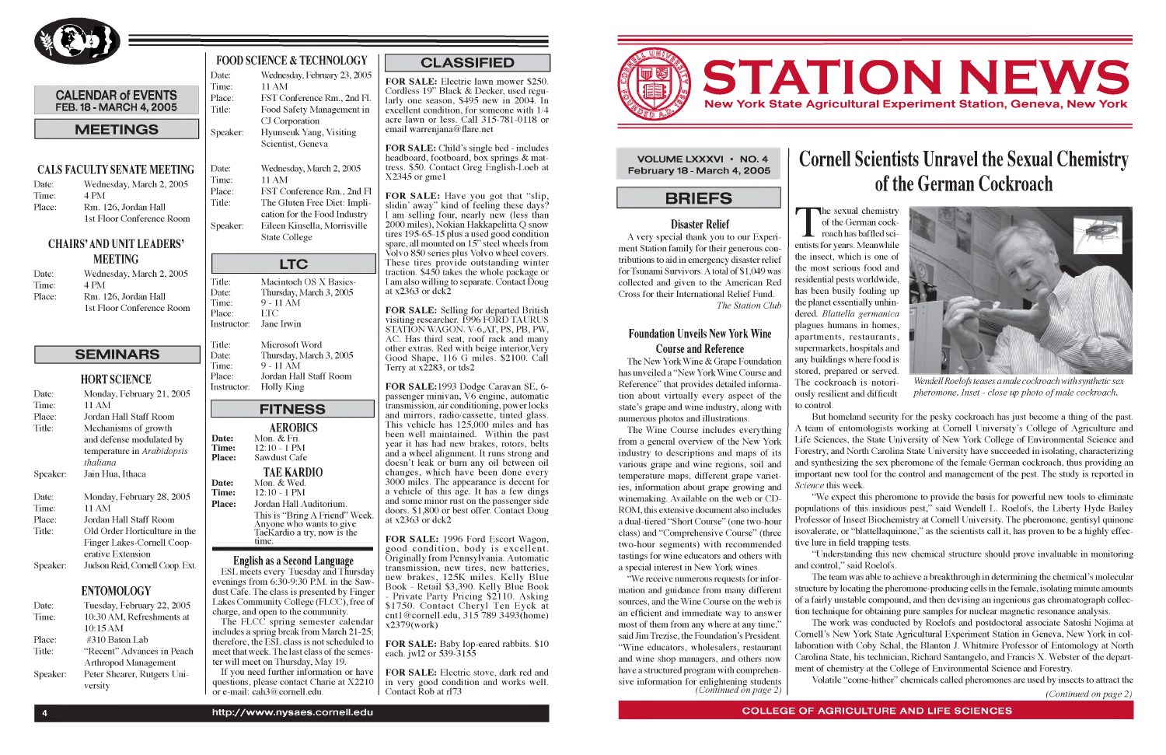

#### **CALENDAR of EVENTS FEB. 18 - MARCH 4, 2005**

#### **M EETING S**

#### **CALS FACULTY SENATE MEETING**

| Date:  | Wednesday, March 2, 2005  |
|--------|---------------------------|
| Time:  | 4 PM                      |
| Place: | Rm. 126, Jordan Hall      |
|        | 1st Floor Conference Room |

#### **CHAIRS' AND UNIT LEADERS' MEETING**

| Date:  | Wednesday, March 2, 2005  |
|--------|---------------------------|
| Time:  | 4 PM                      |
| Place: | Rm. 126, Jordan Hall      |
|        | 1st Floor Conference Room |

### **SEMINARS**

| <b>HORT SCIENCE</b> |  |  |
|---------------------|--|--|
|                     |  |  |

#### **FOOD SCIENCE & TECHNOLOGY** Date: Wednesday, February 23, 2005

| Date:    | Monday, February 21, 2005      |
|----------|--------------------------------|
| Time:    | 11 AM                          |
| Place:   | Jordan Hall Staff Room         |
| Title:   | Mechanisms of growth           |
|          | and defense modulated by       |
|          | temperature in Arabidopsis     |
|          | thaliana                       |
| Speaker: | Jain Hua, Ithaca               |
| Date:    | Monday, February 28, 2005      |
| Time:    | 11 AM                          |
| Place:   | Jordan Hall Staff Room         |
| Title:   | Old Order Horticulture in the  |
|          | Finger Lakes-Cornell Coop-     |
|          | erative Extension              |
| Speaker: | Judson Reid, Cornell Coop. Ext |
|          |                                |

Date: Wednesday, March 2, 2005 Time: 11 AM Place: FST Conference Rm., 2nd Fl Title: The Gluten Free Diet: Implication for the Food Industry Speaker: Eileen Kinsella, Morrisville State College

#### **ENTOMOLOGY**

| Date:    | Tuesday, February 22, 2005  |
|----------|-----------------------------|
| Time:    | 10:30 AM, Refreshments at   |
|          | 10:15 AM                    |
| Place:   | #310 Baton Lab              |
| Title:   | "Recent" Advances in Peach  |
|          | <b>Arthropod Management</b> |
| Speaker: | Peter Shearer, Rutgers Uni- |
|          | versity                     |

ESL meets every Tuesday and Thursday evenings from 6:30-9:30 P.M. in the Sawdust Cafe. The class is presented by Finger Lakes Community College (FLCC), free of charge, and open to the community. The FLCC spring semester calendar

Time: 11 AM Place: FST Conference Rm., 2nd Fl. Title: Food Safety Management in CJ Corporation Speaker: Hyunseuk Yang, Visiting Scientist, Geneva

# **LTC**

Title: Date: Time: Place:

Instructor: Jane Irwin Macintoch OS X Basics-Thursday, March 3, 2005 9 - 11 AM LTC

Title: Date: Time: Place:

Instructor: Microsoft Word Thursday, March 3, 2005 9 - 11 AM Jordan Hall Staff Room Holly King

## **FITNESS**

**FOR SALE:** Selling for departed British visiting researcher. 1996 FORD TAURUS STATION WAGON. V-6,AT, PS, PB, PW, AC. Has third seat, roof rack and many other extras. Red with beige interior, Very Good Shape, 116 G miles. \$2100. Call Terry at  $x\overline{2}283$ , or tds2

**Date:**

**Date:**

**Time: Place: AEROBICS** Mon. & Fri. 12:10 - 1 PM Sawdust Cafe **Time: Place: TAE KARDIO** Mon. & Wed. 12:10 - 1 PM Jordan Hall Auditorium.

This is "Bring A Friend" Week. Anyone who wants to give TaeKardio a try, now is the time.

#### **English as a Second Language**

includes a spring break from March 21-25; therefore, the ESL class is not scheduled to meet that week. The last class of the semester will meet on Thursday, May 19.

**FOR SALE:** Baby lop-eared rabbits. \$10 each. jwl2 or 539-3155

**FOR SALE:** Electric stove, dark red and in very good condition and works well. Contact Rob at rl73

If you need further information or have questions, please contact Charie at X2210 or e-mail: [cah3@cornell.edu.](mailto:cah3@cornell.edu)

**CLASSIFIED**

**FOR SALE:** Electric lawn mower \$250. Cordless 19" Black & Decker, used regularly one season, \$495 new in 2004. In excellent condition, for someone with 1/4 acre lawn or less. Call 315-781-0118 or email [warrenjana@flare.net](mailto:warrenjana@flare.net)

**FOR SALE:** Child's single bed - includes headboard, footboard, box springs & mattress. \$50. Contact Greg English-Loeb at X2345 or gme1

**FOR SALE:** Have you got that "slip, slidin' away" kind of feeling these days? I am selling four, nearly new (less than 2000 miles), Nokian Hakkapelitta Q snow tires 195-65-15 plus a used good condition spare, all mounted on 15" steel wheels from Volvo 850 series plus Volvo wheel covers. These tires provide outstanding winter traction. \$450 takes the whole package or I am also willing to separate. Contact Doug at  $x2363$  or dck2

> The Wine Course includes everything from a general overview of the New York industry to descriptions and maps of its various grape and wine regions, soil and temperature maps, different grape varieties, information about grape growing and winemaking. Available on the web or CD-ROM, this extensive document also includes a dual-tiered "Short Course" (one two-hour class) and "Comprehensive Course" (three two-hour segments) with recommended tastings for wine educators and others with a special interest in New York wines.



*Wendell Roelofs teases a male cockroach with synthetic sex pheromone. Inset - close up photo of male cockroach.* 

#### **T** entists for years. Meanwhile the insect, which is one of the most serious food and residential pests worldwide, has been busily fouling up the planet essentially unhindered. *Blattella germanica* plagues humans in homes, apartments, restaurants, supermarkets, hospitals and any buildings where food is stored, prepared or served. The cockroach is notoriously resilient and difficult

**FOR SALE:** 1993 Dodge Caravan SE, 6 passenger minivan, V6 engine, automatic transmission, air conditioning, power locks and mirrors, radio/cassette, tinted glass. This vehicle has 125,000 miles and has been well maintained. Within the past year it has had new brakes, rotors, belts and a wheel alignment. It runs strong and doesn't leak or burn any oil between oil changes, w hich have been done every 3000 miles. The appearance is decent for a vehicle of this age. It has a few dings and some minor rust on the passenger side doors. \$1,800 or best offer. Contact Doug at x2363 or dck2

**FOR SALE:** 1996 Ford Escort Wagon, good condition, body is excellent. Originally from Pennsylvania. Automatic transmission, new tires, new batteries, new brakes, 125K miles. Kelly Blue Book - Retail \$3,390. Kelly Blue Book - Private Party Pricing \$2110. Asking \$1750. Contact Cheryl Ten Eyck at [cnt1@ cornell.edu,](mailto:cnt1@cornell.edu) 315 789 3493(home) x2379(work)



**VOLUME LXXXVI • NO. 4 February 18 - March 4, 2005** 

### **BRIEFS**

#### **Disaster Relief**

A very special thank you to our Experiment Station family for their generous contributions to aid in emergency disaster relief for Tsunami Survivors. A total of \$1,049 was collected and given to the American Red Cross for their International Relief Fund.

*The Station Club*

#### **Foundation Unveils New York Wine Course and Reference**

The New York Wine & Grape Foundation has unveiled a "New York Wine Course and Reference" that provides detailed information about virtually every aspect of the state's grape and wine industry, along with numerous photos and illustrations.

"We receive numerous requests for information and guidance from many different sources, and the Wine Course on the web is an efficient and immediate way to answer most of them from any where at any time," said Jim Trezise, the Foundation's President. "Wine educators, wholesalers, restaurant and wine shop managers, and others now have a structured program with comprehensive information for enlightening students *(Continued on page 2)*

# **Cornell Scientists Unravel the Sexual Chemistry of the German Cockroach**

he sexual chemistry of the German cockroach has baffled sci-

to control. But homeland security for the pesky cockroach has just become a thing of the past. A team of entomologists working at Cornell University's College of Agriculture and Life Sciences, the State University of New York College of Environmental Science and Forestry, and North Carolina State University have succeeded in isolating, characterizing and synthesizing the sex pheromone of the female German cockroach, thus providing an important new tool for the control and management of the pest. The study is reported in *Science* this week.

"We expect this pheromone to provide the basis for powerful new tools to eliminate populations of this insidious pest," said Wendell L. Roelofs, the Liberty Hyde Bailey Professor of Insect Biochemistry at Cornell University. The pheromone, gentisyl quinone isovalerate, or "blattellaquinone," as the scientists call it, has proven to be a highly effective lure in field trapping tests.

"Understanding this new chemical structure should prove invaluable in monitoring

and control," said Roelofs.

The team was able to achieve a breakthrough in determining the chemical's molecular structure by locating the pheromone-producing cells in the female, isolating minute amounts of a fairly unstable compound, and then devising an ingenious gas chromatograph collection technique for obtaining pure samples for nuclear magnetic resonance analysis.

The work was conducted by Roelofs and postdoctoral associate Satoshi Nojima at Cornell's New York State Agricultural Experiment Station in Geneva, New York in collaboration with Coby Schal, the Blanton J. Whitmire Professor of Entomology at North Carolina State, his technician, Richard Santangelo, and Francis X. Webster of the department of chemistry at the College of Environmental Science and Forestry. Volatile "come-hither" chemicals called pheromones are used by insects to attract the

*(Continued on page 2)*